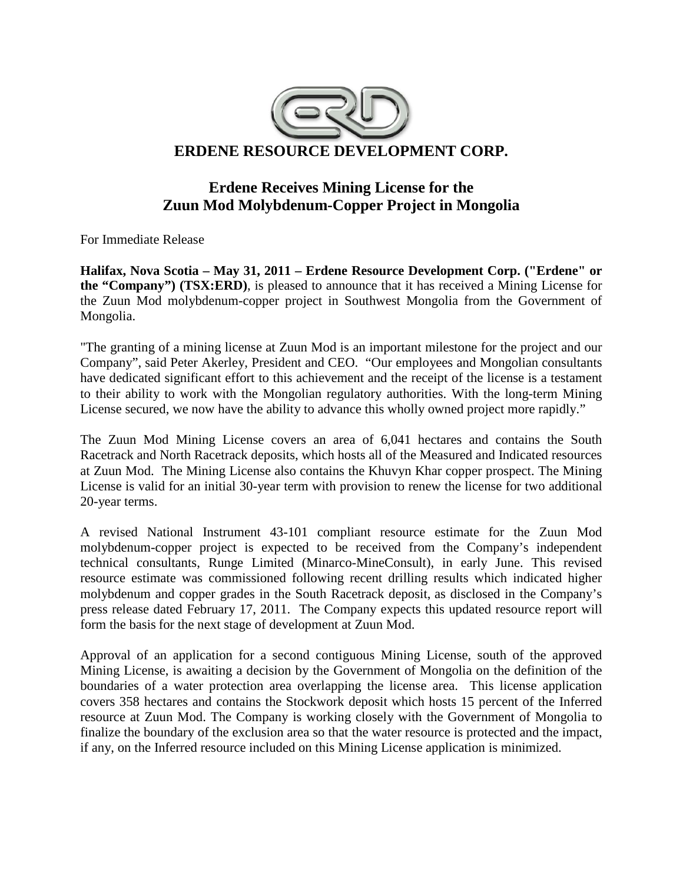

# **Erdene Receives Mining License for the Zuun Mod Molybdenum-Copper Project in Mongolia**

For Immediate Release

**Halifax, Nova Scotia – May 31, 2011 – Erdene Resource Development Corp. ("Erdene" or the "Company") (TSX:ERD)**, is pleased to announce that it has received a Mining License for the Zuun Mod molybdenum-copper project in Southwest Mongolia from the Government of Mongolia.

"The granting of a mining license at Zuun Mod is an important milestone for the project and our Company", said Peter Akerley, President and CEO. "Our employees and Mongolian consultants have dedicated significant effort to this achievement and the receipt of the license is a testament to their ability to work with the Mongolian regulatory authorities. With the long-term Mining License secured, we now have the ability to advance this wholly owned project more rapidly."

The Zuun Mod Mining License covers an area of 6,041 hectares and contains the South Racetrack and North Racetrack deposits, which hosts all of the Measured and Indicated resources at Zuun Mod. The Mining License also contains the Khuvyn Khar copper prospect. The Mining License is valid for an initial 30-year term with provision to renew the license for two additional 20-year terms.

A revised National Instrument 43-101 compliant resource estimate for the Zuun Mod molybdenum-copper project is expected to be received from the Company's independent technical consultants, Runge Limited (Minarco-MineConsult), in early June. This revised resource estimate was commissioned following recent drilling results which indicated higher molybdenum and copper grades in the South Racetrack deposit, as disclosed in the Company's press release dated February 17, 2011. The Company expects this updated resource report will form the basis for the next stage of development at Zuun Mod.

Approval of an application for a second contiguous Mining License, south of the approved Mining License, is awaiting a decision by the Government of Mongolia on the definition of the boundaries of a water protection area overlapping the license area. This license application covers 358 hectares and contains the Stockwork deposit which hosts 15 percent of the Inferred resource at Zuun Mod. The Company is working closely with the Government of Mongolia to finalize the boundary of the exclusion area so that the water resource is protected and the impact, if any, on the Inferred resource included on this Mining License application is minimized.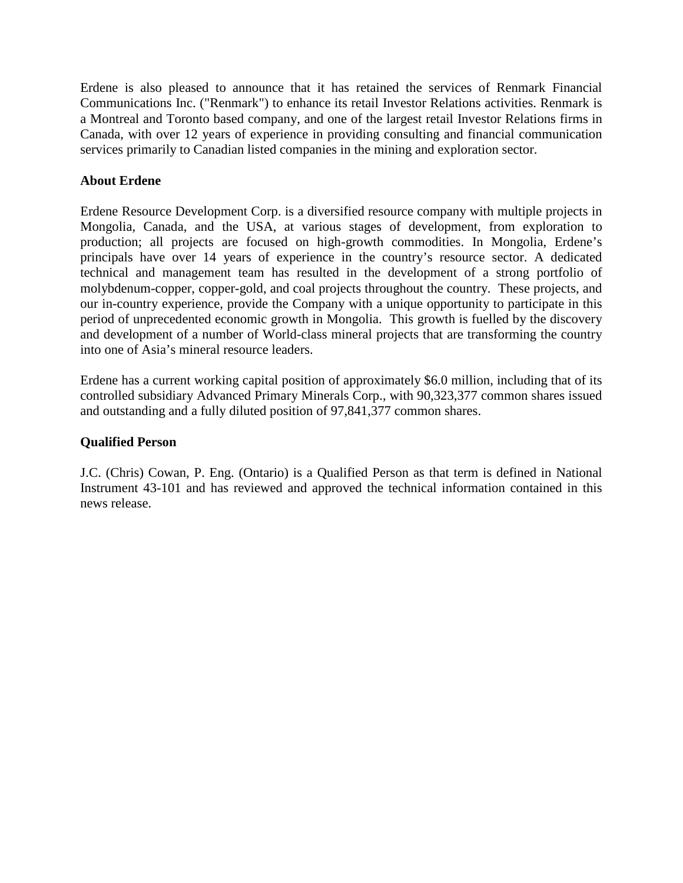Erdene is also pleased to announce that it has retained the services of Renmark Financial Communications Inc. ("Renmark") to enhance its retail Investor Relations activities. Renmark is a Montreal and Toronto based company, and one of the largest retail Investor Relations firms in Canada, with over 12 years of experience in providing consulting and financial communication services primarily to Canadian listed companies in the mining and exploration sector.

## **About Erdene**

Erdene Resource Development Corp. is a diversified resource company with multiple projects in Mongolia, Canada, and the USA, at various stages of development, from exploration to production; all projects are focused on high-growth commodities. In Mongolia, Erdene's principals have over 14 years of experience in the country's resource sector. A dedicated technical and management team has resulted in the development of a strong portfolio of molybdenum-copper, copper-gold, and coal projects throughout the country. These projects, and our in-country experience, provide the Company with a unique opportunity to participate in this period of unprecedented economic growth in Mongolia. This growth is fuelled by the discovery and development of a number of World-class mineral projects that are transforming the country into one of Asia's mineral resource leaders.

Erdene has a current working capital position of approximately \$6.0 million, including that of its controlled subsidiary Advanced Primary Minerals Corp., with 90,323,377 common shares issued and outstanding and a fully diluted position of 97,841,377 common shares.

## **Qualified Person**

J.C. (Chris) Cowan, P. Eng. (Ontario) is a Qualified Person as that term is defined in National Instrument 43-101 and has reviewed and approved the technical information contained in this news release.